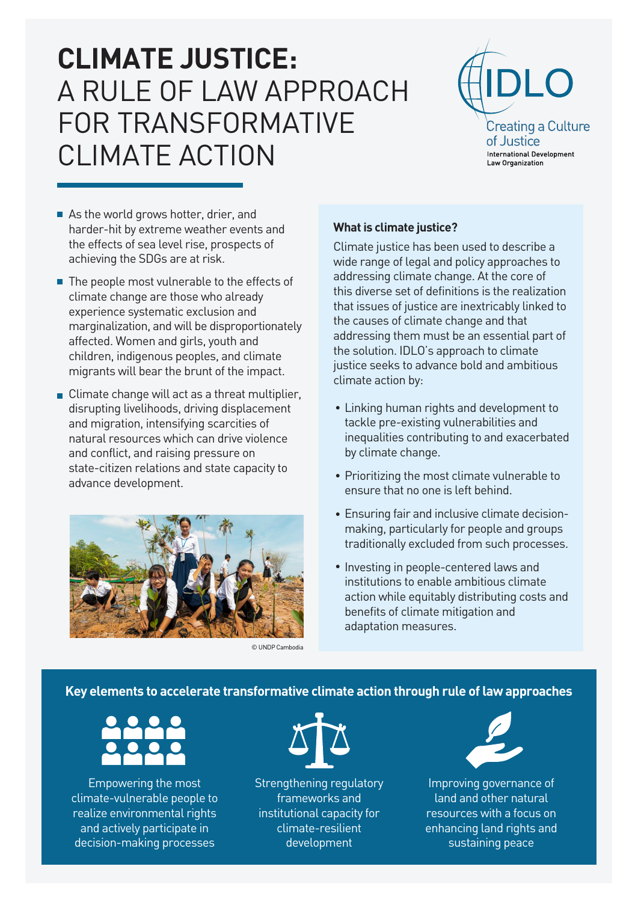# **CLIMATE JUSTICE:** A RULE OF LAW APPROACH FOR TRANSFORMATIVE CLIMATE ACTION



- As the world grows hotter, drier, and harder-hit by extreme weather events and the effects of sea level rise, prospects of achieving the SDGs are at risk.
- $\blacksquare$  The people most vulnerable to the effects of climate change are those who already experience systematic exclusion and marginalization, and will be disproportionately affected. Women and girls, youth and children, indigenous peoples, and climate migrants will bear the brunt of the impact.
- Climate change will act as a threat multiplier, disrupting livelihoods, driving displacement and migration, intensifying scarcities of natural resources which can drive violence and conflict, and raising pressure on state-citizen relations and state capacity to advance development.



© UNDP Cambodia

### **What is climate justice?**

Climate justice has been used to describe a wide range of legal and policy approaches to addressing climate change. At the core of this diverse set of definitions is the realization that issues of justice are inextricably linked to the causes of climate change and that addressing them must be an essential part of the solution. IDLO's approach to climate justice seeks to advance bold and ambitious climate action by:

- Linking human rights and development to tackle pre-existing vulnerabilities and inequalities contributing to and exacerbated by climate change.
- Prioritizing the most climate vulnerable to ensure that no one is left behind.
- Ensuring fair and inclusive climate decision-• making, particularly for people and groups traditionally excluded from such processes.
- Investing in people-centered laws and institutions to enable ambitious climate action while equitably distributing costs and benefits of climate mitigation and adaptation measures.

### **Key elements to accelerate transformative climate action through rule of law approaches**

Empowering the most climate-vulnerable people to realize environmental rights and actively participate in decision-making processes



Strengthening regulatory frameworks and institutional capacity for climate-resilient development



Improving governance of land and other natural resources with a focus on enhancing land rights and sustaining peace